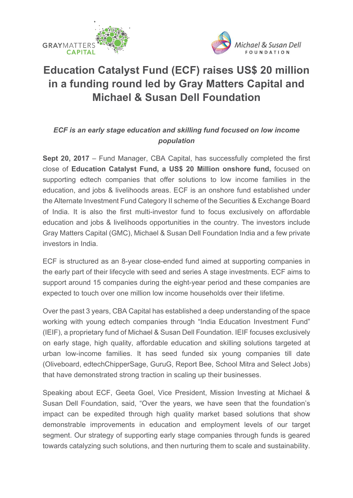



## **Education Catalyst Fund (ECF) raises US\$ 20 million in a funding round led by Gray Matters Capital and Michael & Susan Dell Foundation**

## *ECF is an early stage education and skilling fund focused on low income population*

**Sept 20, 2017** – Fund Manager, CBA Capital, has successfully completed the first close of **Education Catalyst Fund, a US\$ 20 Million onshore fund,** focused on supporting edtech companies that offer solutions to low income families in the education, and jobs & livelihoods areas. ECF is an onshore fund established under the Alternate Investment Fund Category II scheme of the Securities & Exchange Board of India. It is also the first multi-investor fund to focus exclusively on affordable education and jobs & livelihoods opportunities in the country. The investors include Gray Matters Capital (GMC), Michael & Susan Dell Foundation India and a few private investors in India.

ECF is structured as an 8-year close-ended fund aimed at supporting companies in the early part of their lifecycle with seed and series A stage investments. ECF aims to support around 15 companies during the eight-year period and these companies are expected to touch over one million low income households over their lifetime.

Over the past 3 years, CBA Capital has established a deep understanding of the space working with young edtech companies through "India Education Investment Fund" (IEIF), a proprietary fund of Michael & Susan Dell Foundation. IEIF focuses exclusively on early stage, high quality, affordable education and skilling solutions targeted at urban low-income families. It has seed funded six young companies till date (Oliveboard, edtechChipperSage, GuruG, Report Bee, School Mitra and Select Jobs) that have demonstrated strong traction in scaling up their businesses.

Speaking about ECF, Geeta Goel, Vice President, Mission Investing at Michael & Susan Dell Foundation, said, "Over the years, we have seen that the foundation's impact can be expedited through high quality market based solutions that show demonstrable improvements in education and employment levels of our target segment. Our strategy of supporting early stage companies through funds is geared towards catalyzing such solutions, and then nurturing them to scale and sustainability.